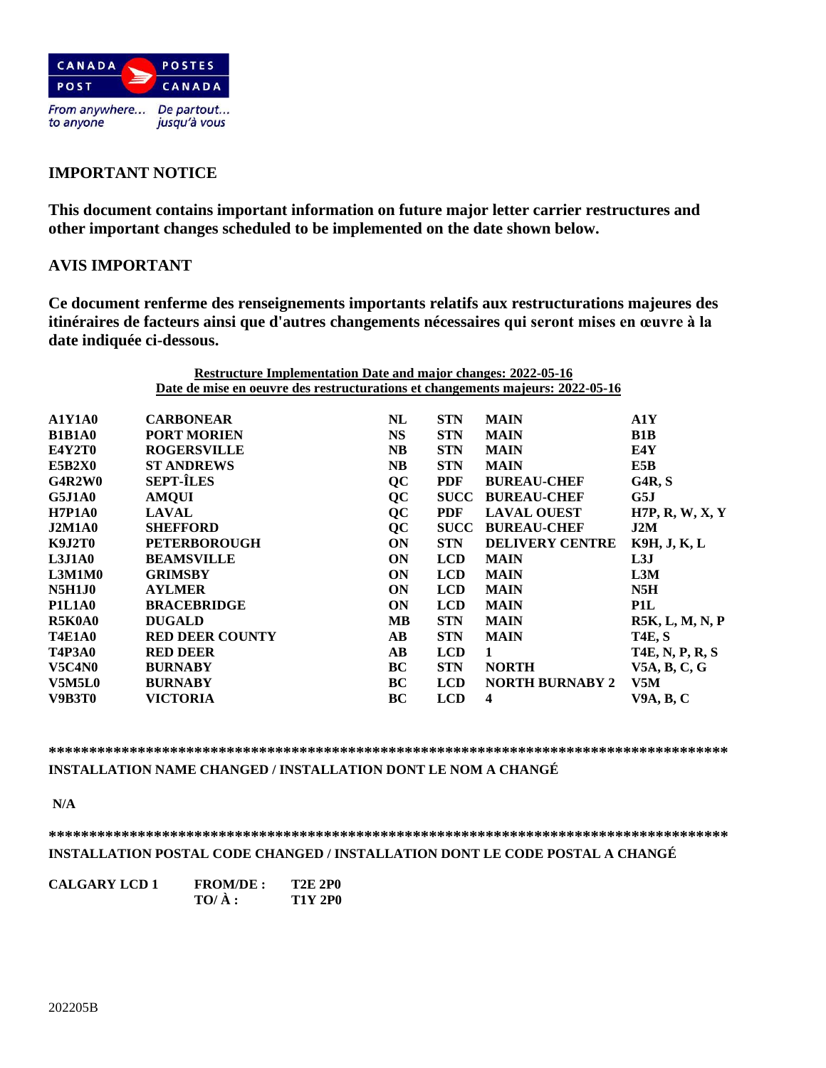

# **IMPORTANT NOTICE**

**This document contains important information on future major letter carrier restructures and other important changes scheduled to be implemented on the date shown below.**

## **AVIS IMPORTANT**

**Ce document renferme des renseignements importants relatifs aux restructurations majeures des itinéraires de facteurs ainsi que d'autres changements nécessaires qui seront mises en œuvre à la date indiquée ci-dessous.**

|               | <b>Restructure Implementation Date and major changes: 2022-05-16</b>           |                        |             |                        |                        |
|---------------|--------------------------------------------------------------------------------|------------------------|-------------|------------------------|------------------------|
|               | Date de mise en oeuvre des restructurations et changements majeurs: 2022-05-16 |                        |             |                        |                        |
| <b>A1Y1A0</b> | <b>CARBONEAR</b>                                                               | NL                     | <b>STN</b>  | <b>MAIN</b>            | A1Y                    |
| <b>B1B1A0</b> | <b>PORT MORIEN</b>                                                             | <b>NS</b>              | <b>STN</b>  | <b>MAIN</b>            | B1B                    |
| <b>E4Y2T0</b> | <b>ROGERSVILLE</b>                                                             | <b>NB</b>              | <b>STN</b>  | <b>MAIN</b>            | E4Y                    |
| <b>E5B2X0</b> | <b>ST ANDREWS</b>                                                              | <b>NB</b>              | <b>STN</b>  | <b>MAIN</b>            | E5B                    |
| G4R2W0        | <b>SEPT-ÎLES</b>                                                               | QC                     | <b>PDF</b>  | <b>BUREAU-CHEF</b>     | G4R, S                 |
| <b>G5J1A0</b> | <b>AMQUI</b>                                                                   | QC                     | <b>SUCC</b> | <b>BUREAU-CHEF</b>     | G5J                    |
| <b>H7P1A0</b> | <b>LAVAL</b>                                                                   | <b>QC</b>              | <b>PDF</b>  | <b>LAVAL OUEST</b>     | H7P, R, W, X, Y        |
| <b>J2M1A0</b> | <b>SHEFFORD</b>                                                                | QC                     | <b>SUCC</b> | <b>BUREAU-CHEF</b>     | J2M                    |
| <b>K9J2T0</b> | <b>PETERBOROUGH</b>                                                            | ON                     | <b>STN</b>  | <b>DELIVERY CENTRE</b> | K9H, J, K, L           |
| <b>L3J1A0</b> | <b>BEAMSVILLE</b>                                                              | ON                     | <b>LCD</b>  | <b>MAIN</b>            | L3J                    |
| L3M1M0        | <b>GRIMSBY</b>                                                                 | ON                     | <b>LCD</b>  | <b>MAIN</b>            | L3M                    |
| <b>N5H1J0</b> | <b>AYLMER</b>                                                                  | ON                     | <b>LCD</b>  | <b>MAIN</b>            | N5H                    |
| <b>P1L1A0</b> | <b>BRACEBRIDGE</b>                                                             | ON                     | <b>LCD</b>  | <b>MAIN</b>            | P1L                    |
| R5K0A0        | <b>DUGALD</b>                                                                  | <b>MB</b>              | <b>STN</b>  | <b>MAIN</b>            | R5K, L, M, N, P        |
| <b>T4E1A0</b> | <b>RED DEER COUNTY</b>                                                         | $\mathbf{A}\mathbf{B}$ | <b>STN</b>  | <b>MAIN</b>            | <b>T4E, S</b>          |
| <b>T4P3A0</b> | <b>RED DEER</b>                                                                | AB                     | <b>LCD</b>  | 1                      | <b>T4E, N, P, R, S</b> |
| <b>V5C4N0</b> | <b>BURNABY</b>                                                                 | BC                     | <b>STN</b>  | <b>NORTH</b>           | V5A, B, C, G           |
| <b>V5M5L0</b> | <b>BURNABY</b>                                                                 | BC                     | <b>LCD</b>  | <b>NORTH BURNABY 2</b> | V5M                    |
| V9B3T0        | VICTORIA                                                                       | BC                     | <b>LCD</b>  | 4                      | <b>V9A, B, C</b>       |
|               |                                                                                |                        |             |                        |                        |

#### **\*\*\*\*\*\*\*\*\*\*\*\*\*\*\*\*\*\*\*\*\*\*\*\*\*\*\*\*\*\*\*\*\*\*\*\*\*\*\*\*\*\*\*\*\*\*\*\*\*\*\*\*\*\*\*\*\*\*\*\*\*\*\*\*\*\*\*\*\*\*\*\*\*\*\*\*\*\*\*\*\*\*\*\***

**INSTALLATION NAME CHANGED / INSTALLATION DONT LE NOM A CHANGÉ**

**N/A**

## **\*\*\*\*\*\*\*\*\*\*\*\*\*\*\*\*\*\*\*\*\*\*\*\*\*\*\*\*\*\*\*\*\*\*\*\*\*\*\*\*\*\*\*\*\*\*\*\*\*\*\*\*\*\*\*\*\*\*\*\*\*\*\*\*\*\*\*\*\*\*\*\*\*\*\*\*\*\*\*\*\*\*\*\* INSTALLATION POSTAL CODE CHANGED / INSTALLATION DONT LE CODE POSTAL A CHANGÉ**

| <b>CALGARY LCD 1</b> | <b>FROM/DE:</b> | <b>T2E 2P0</b> |
|----------------------|-----------------|----------------|
|                      | $TO/ \hat{A}$ : | <b>T1Y 2P0</b> |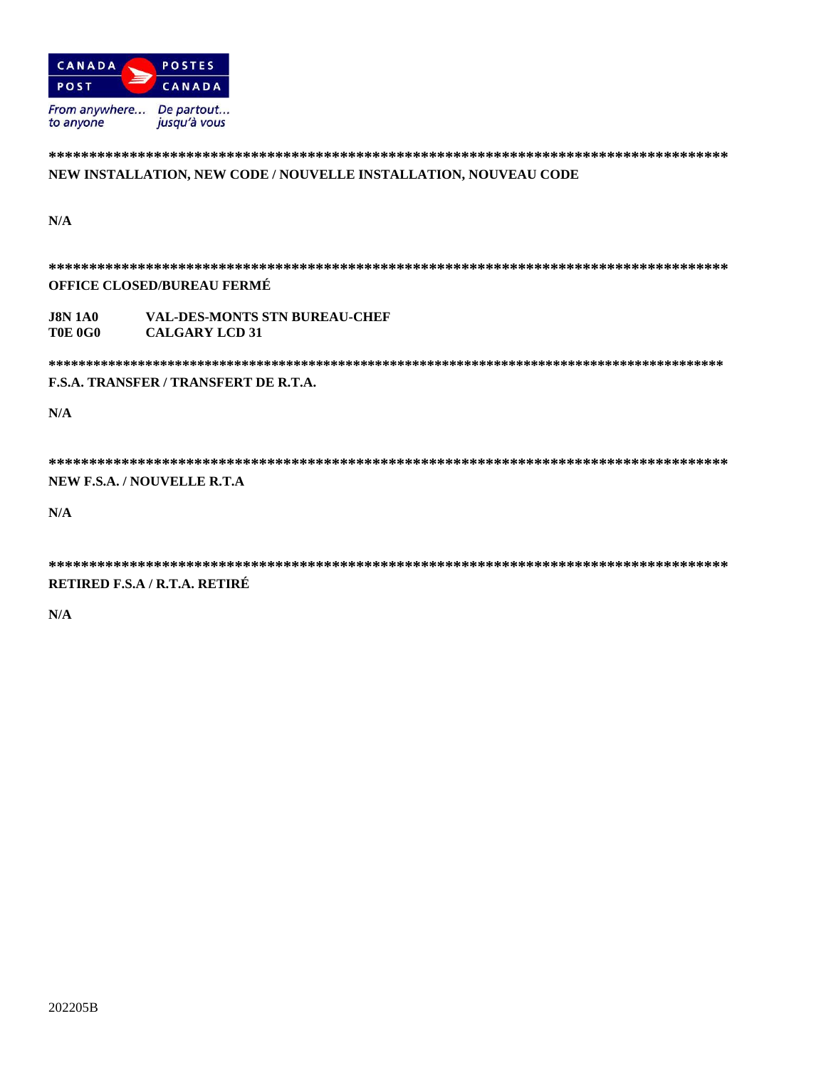

## NEW INSTALLATION, NEW CODE / NOUVELLE INSTALLATION, NOUVEAU CODE

 $N/A$ 

**OFFICE CLOSED/BUREAU FERMÉ VAL-DES-MONTS STN BUREAU-CHEF J8N 1A0 T0E 0G0 CALGARY LCD 31 F.S.A. TRANSFER / TRANSFERT DE R.T.A.**  $N/A$ NEW F.S.A. / NOUVELLE R.T.A

 $N/A$ 

#### RETIRED F.S.A / R.T.A. RETIRÉ

 $N/A$